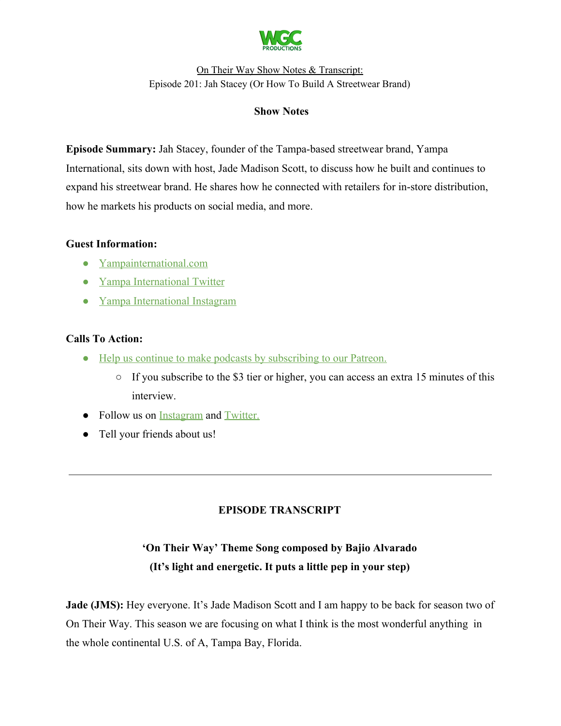

#### **Show Notes**

**Episode Summary:** Jah Stacey, founder of the Tampa-based streetwear brand, Yampa International, sits down with host, Jade Madison Scott, to discuss how he built and continues to expand his streetwear brand. He shares how he connected with retailers for in-store distribution, how he markets his products on social media, and more.

#### **Guest Information:**

- [Yampainternational.com](https://yampainternational.com/)
- [Yampa International Twitter](https://twitter.com/jah_stacey)
- [Yampa International Instagram](https://www.instagram.com/yampaintl/)

## **Calls To Action:**

- [Help us continue to make podcasts by subscribing to our Patreon.](https://www.patreon.com/withgoodco)
	- If you subscribe to the \$3 tier or higher, you can access an extra 15 minutes of this interview.
- Follow us on [Instagram](https://www.instagram.com/withgoodco/) and [Twitter.](https://twitter.com/WithGoodCo)
- Tell your friends about us!

# **EPISODE TRANSCRIPT**

# **'On Their Way' Theme Song composed by Bajio Alvarado (It's light and energetic. It puts a little pep in your step)**

**Jade (JMS):** Hey everyone. It's Jade Madison Scott and I am happy to be back for season two of On Their Way. This season we are focusing on what I think is the most wonderful anything in the whole continental U.S. of A, Tampa Bay, Florida.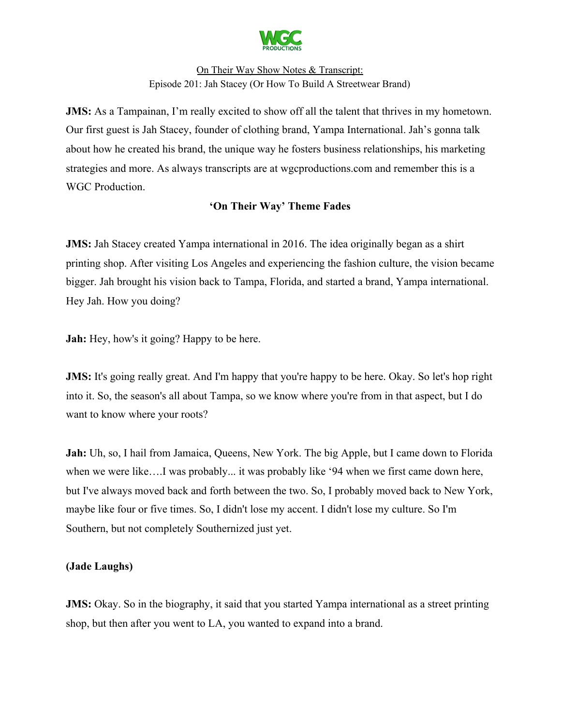

**JMS:** As a Tampainan, I'm really excited to show off all the talent that thrives in my hometown. Our first guest is Jah Stacey, founder of clothing brand, Yampa International. Jah's gonna talk about how he created his brand, the unique way he fosters business relationships, his marketing strategies and more. As always transcripts are at wgcproductions.com and remember this is a WGC Production.

# **'On Their Way' Theme Fades**

**JMS:** Jah Stacey created Yampa international in 2016. The idea originally began as a shirt printing shop. After visiting Los Angeles and experiencing the fashion culture, the vision became bigger. Jah brought his vision back to Tampa, Florida, and started a brand, Yampa international. Hey Jah. How you doing?

**Jah:** Hey, how's it going? Happy to be here.

**JMS:** It's going really great. And I'm happy that you're happy to be here. Okay. So let's hop right into it. So, the season's all about Tampa, so we know where you're from in that aspect, but I do want to know where your roots?

**Jah:** Uh, so, I hail from Jamaica, Queens, New York. The big Apple, but I came down to Florida when we were like….I was probably... it was probably like '94 when we first came down here, but I've always moved back and forth between the two. So, I probably moved back to New York, maybe like four or five times. So, I didn't lose my accent. I didn't lose my culture. So I'm Southern, but not completely Southernized just yet.

## **(Jade Laughs)**

**JMS:** Okay. So in the biography, it said that you started Yampa international as a street printing shop, but then after you went to LA, you wanted to expand into a brand.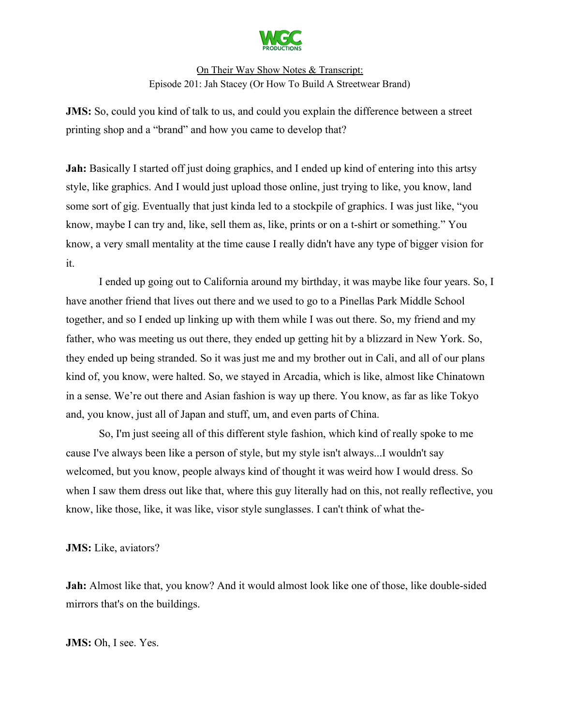

**JMS:** So, could you kind of talk to us, and could you explain the difference between a street printing shop and a "brand" and how you came to develop that?

**Jah:** Basically I started off just doing graphics, and I ended up kind of entering into this artsy style, like graphics. And I would just upload those online, just trying to like, you know, land some sort of gig. Eventually that just kinda led to a stockpile of graphics. I was just like, "you know, maybe I can try and, like, sell them as, like, prints or on a t-shirt or something." You know, a very small mentality at the time cause I really didn't have any type of bigger vision for it.

I ended up going out to California around my birthday, it was maybe like four years. So, I have another friend that lives out there and we used to go to a Pinellas Park Middle School together, and so I ended up linking up with them while I was out there. So, my friend and my father, who was meeting us out there, they ended up getting hit by a blizzard in New York. So, they ended up being stranded. So it was just me and my brother out in Cali, and all of our plans kind of, you know, were halted. So, we stayed in Arcadia, which is like, almost like Chinatown in a sense. We're out there and Asian fashion is way up there. You know, as far as like Tokyo and, you know, just all of Japan and stuff, um, and even parts of China.

So, I'm just seeing all of this different style fashion, which kind of really spoke to me cause I've always been like a person of style, but my style isn't always...I wouldn't say welcomed, but you know, people always kind of thought it was weird how I would dress. So when I saw them dress out like that, where this guy literally had on this, not really reflective, you know, like those, like, it was like, visor style sunglasses. I can't think of what the-

**JMS:** Like, aviators?

**Jah:** Almost like that, you know? And it would almost look like one of those, like double-sided mirrors that's on the buildings.

**JMS:** Oh, I see. Yes.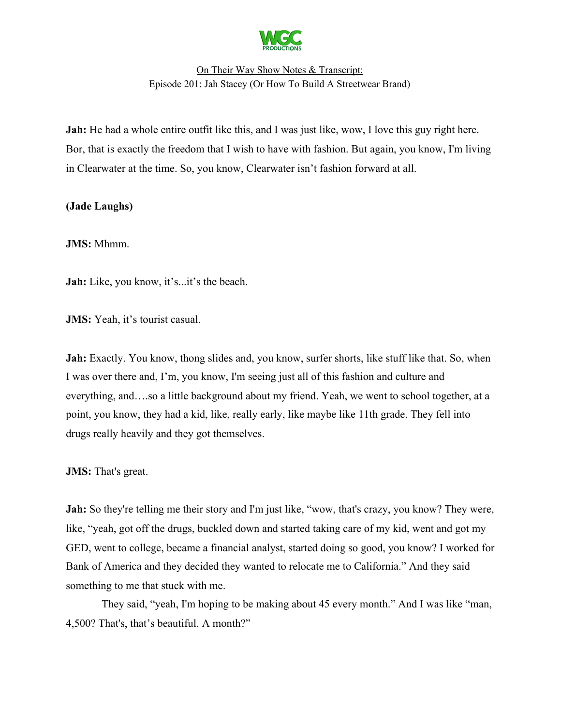

**Jah:** He had a whole entire outfit like this, and I was just like, wow, I love this guy right here. Bor, that is exactly the freedom that I wish to have with fashion. But again, you know, I'm living in Clearwater at the time. So, you know, Clearwater isn't fashion forward at all.

## **(Jade Laughs)**

**JMS:** Mhmm.

**Jah:** Like, you know, it's...it's the beach.

**JMS:** Yeah, it's tourist casual.

Jah: Exactly. You know, thong slides and, you know, surfer shorts, like stuff like that. So, when I was over there and, I'm, you know, I'm seeing just all of this fashion and culture and everything, and….so a little background about my friend. Yeah, we went to school together, at a point, you know, they had a kid, like, really early, like maybe like 11th grade. They fell into drugs really heavily and they got themselves.

**JMS:** That's great.

**Jah:** So they're telling me their story and I'm just like, "wow, that's crazy, you know? They were, like, "yeah, got off the drugs, buckled down and started taking care of my kid, went and got my GED, went to college, became a financial analyst, started doing so good, you know? I worked for Bank of America and they decided they wanted to relocate me to California." And they said something to me that stuck with me.

 They said, "yeah, I'm hoping to be making about 45 every month." And I was like "man, 4,500? That's, that's beautiful. A month?"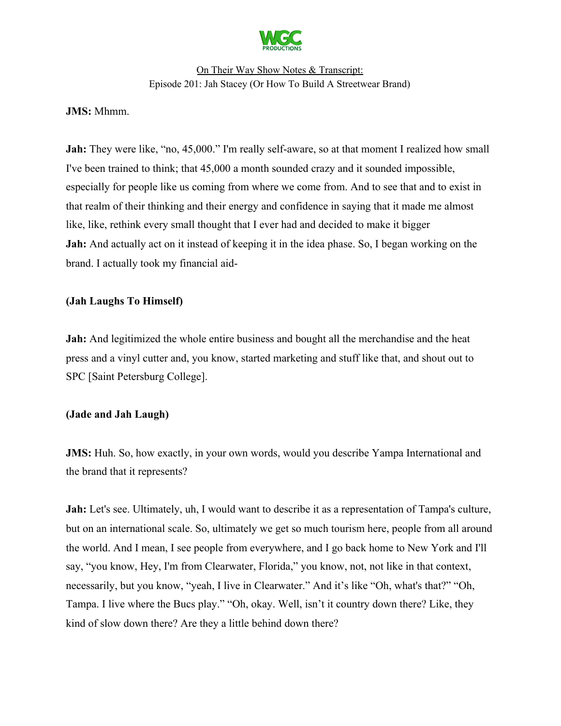

#### **JMS:** Mhmm.

**Jah:** They were like, "no, 45,000." I'm really self-aware, so at that moment I realized how small I've been trained to think; that 45,000 a month sounded crazy and it sounded impossible, especially for people like us coming from where we come from. And to see that and to exist in that realm of their thinking and their energy and confidence in saying that it made me almost like, like, rethink every small thought that I ever had and decided to make it bigger **Jah:** And actually act on it instead of keeping it in the idea phase. So, I began working on the brand. I actually took my financial aid-

#### **(Jah Laughs To Himself)**

**Jah:** And legitimized the whole entire business and bought all the merchandise and the heat press and a vinyl cutter and, you know, started marketing and stuff like that, and shout out to SPC [Saint Petersburg College].

#### **(Jade and Jah Laugh)**

**JMS:** Huh. So, how exactly, in your own words, would you describe Yampa International and the brand that it represents?

**Jah:** Let's see. Ultimately, uh, I would want to describe it as a representation of Tampa's culture, but on an international scale. So, ultimately we get so much tourism here, people from all around the world. And I mean, I see people from everywhere, and I go back home to New York and I'll say, "you know, Hey, I'm from Clearwater, Florida," you know, not, not like in that context, necessarily, but you know, "yeah, I live in Clearwater." And it's like "Oh, what's that?" "Oh, Tampa. I live where the Bucs play." "Oh, okay. Well, isn't it country down there? Like, they kind of slow down there? Are they a little behind down there?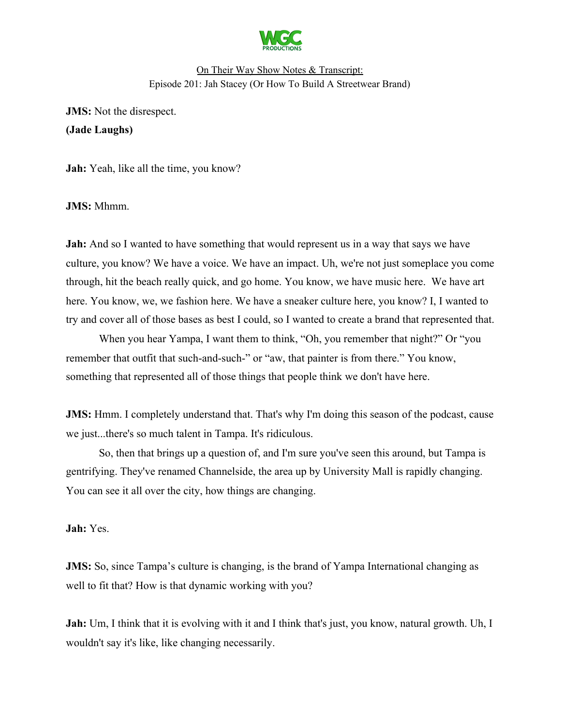

**JMS:** Not the disrespect. **(Jade Laughs)**

**Jah:** Yeah, like all the time, you know?

**JMS:** Mhmm.

**Jah:** And so I wanted to have something that would represent us in a way that says we have culture, you know? We have a voice. We have an impact. Uh, we're not just someplace you come through, hit the beach really quick, and go home. You know, we have music here. We have art here. You know, we, we fashion here. We have a sneaker culture here, you know? I, I wanted to try and cover all of those bases as best I could, so I wanted to create a brand that represented that.

When you hear Yampa, I want them to think, "Oh, you remember that night?" Or "you remember that outfit that such-and-such-" or "aw, that painter is from there." You know, something that represented all of those things that people think we don't have here.

**JMS:** Hmm. I completely understand that. That's why I'm doing this season of the podcast, cause we just...there's so much talent in Tampa. It's ridiculous.

So, then that brings up a question of, and I'm sure you've seen this around, but Tampa is gentrifying. They've renamed Channelside, the area up by University Mall is rapidly changing. You can see it all over the city, how things are changing.

**Jah:** Yes.

**JMS:** So, since Tampa's culture is changing, is the brand of Yampa International changing as well to fit that? How is that dynamic working with you?

**Jah:** Um, I think that it is evolving with it and I think that's just, you know, natural growth. Uh, I wouldn't say it's like, like changing necessarily.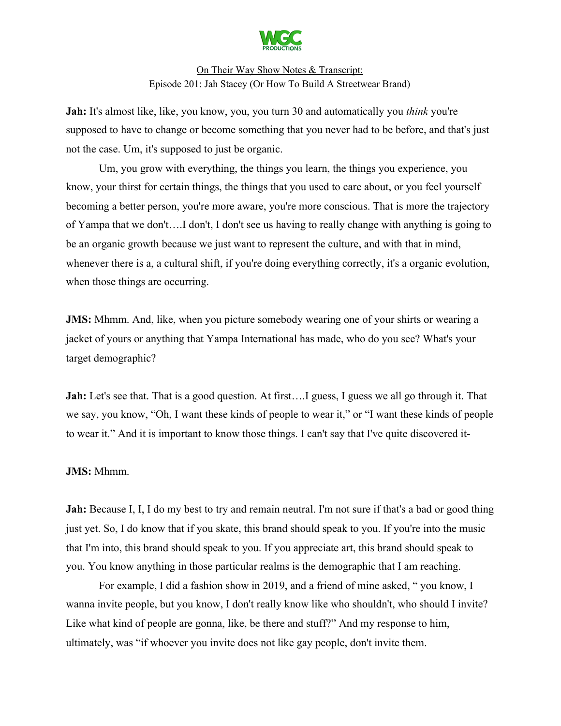

**Jah:** It's almost like, like, you know, you, you turn 30 and automatically you *think* you're supposed to have to change or become something that you never had to be before, and that's just not the case. Um, it's supposed to just be organic.

Um, you grow with everything, the things you learn, the things you experience, you know, your thirst for certain things, the things that you used to care about, or you feel yourself becoming a better person, you're more aware, you're more conscious. That is more the trajectory of Yampa that we don't….I don't, I don't see us having to really change with anything is going to be an organic growth because we just want to represent the culture, and with that in mind, whenever there is a, a cultural shift, if you're doing everything correctly, it's a organic evolution, when those things are occurring.

**JMS:** Mhmm. And, like, when you picture somebody wearing one of your shirts or wearing a jacket of yours or anything that Yampa International has made, who do you see? What's your target demographic?

**Jah:** Let's see that. That is a good question. At first.... I guess, I guess we all go through it. That we say, you know, "Oh, I want these kinds of people to wear it," or "I want these kinds of people to wear it." And it is important to know those things. I can't say that I've quite discovered it-

#### **JMS:** Mhmm.

**Jah:** Because I, I, I do my best to try and remain neutral. I'm not sure if that's a bad or good thing just yet. So, I do know that if you skate, this brand should speak to you. If you're into the music that I'm into, this brand should speak to you. If you appreciate art, this brand should speak to you. You know anything in those particular realms is the demographic that I am reaching.

For example, I did a fashion show in 2019, and a friend of mine asked, " you know, I wanna invite people, but you know, I don't really know like who shouldn't, who should I invite? Like what kind of people are gonna, like, be there and stuff?" And my response to him, ultimately, was "if whoever you invite does not like gay people, don't invite them.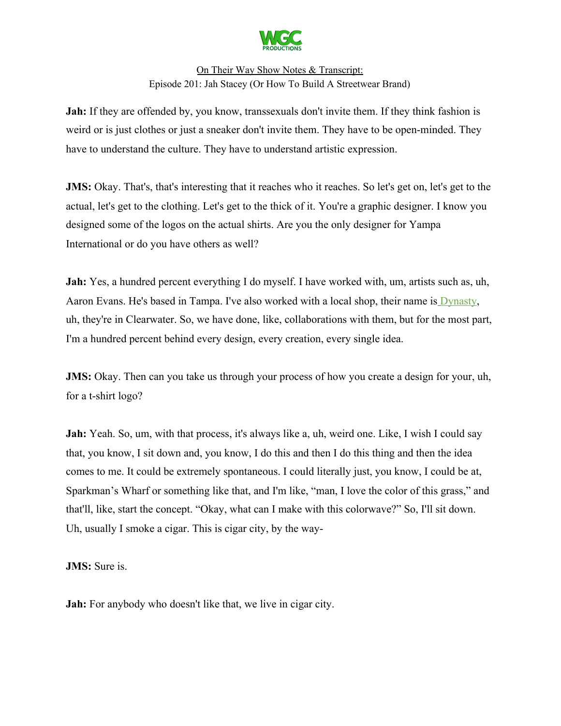

**Jah:** If they are offended by, you know, transsexuals don't invite them. If they think fashion is weird or is just clothes or just a sneaker don't invite them. They have to be open-minded. They have to understand the culture. They have to understand artistic expression.

**JMS:** Okay. That's, that's interesting that it reaches who it reaches. So let's get on, let's get to the actual, let's get to the clothing. Let's get to the thick of it. You're a graphic designer. I know you designed some of the logos on the actual shirts. Are you the only designer for Yampa International or do you have others as well?

**Jah:** Yes, a hundred percent everything I do myself. I have worked with, um, artists such as, uh, Aaron Evans. He's based in Tampa. I've also worked with a local shop, their name is [Dynasty](https://www.facebook.com/DynastyClothing/), uh, they're in Clearwater. So, we have done, like, collaborations with them, but for the most part, I'm a hundred percent behind every design, every creation, every single idea.

**JMS:** Okay. Then can you take us through your process of how you create a design for your, uh, for a t-shirt logo?

**Jah:** Yeah. So, um, with that process, it's always like a, uh, weird one. Like, I wish I could say that, you know, I sit down and, you know, I do this and then I do this thing and then the idea comes to me. It could be extremely spontaneous. I could literally just, you know, I could be at, Sparkman's Wharf or something like that, and I'm like, "man, I love the color of this grass," and that'll, like, start the concept. "Okay, what can I make with this colorwave?" So, I'll sit down. Uh, usually I smoke a cigar. This is cigar city, by the way-

**JMS:** Sure is.

**Jah:** For anybody who doesn't like that, we live in cigar city.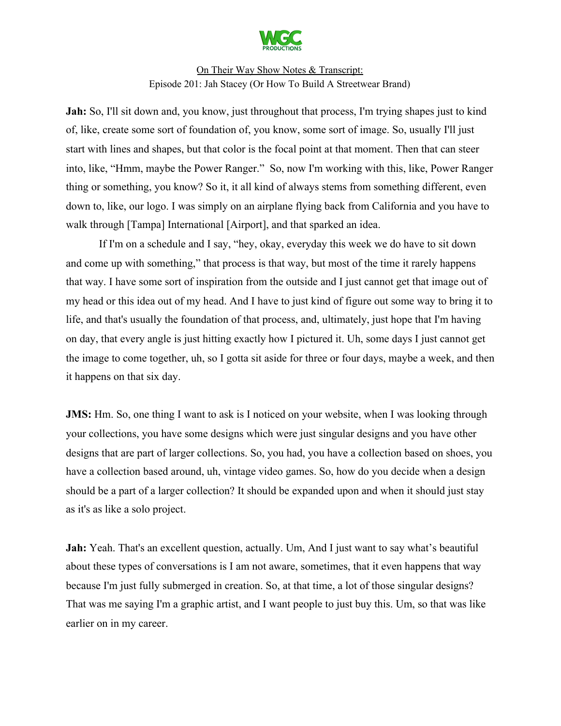

**Jah:** So, I'll sit down and, you know, just throughout that process, I'm trying shapes just to kind of, like, create some sort of foundation of, you know, some sort of image. So, usually I'll just start with lines and shapes, but that color is the focal point at that moment. Then that can steer into, like, "Hmm, maybe the Power Ranger." So, now I'm working with this, like, Power Ranger thing or something, you know? So it, it all kind of always stems from something different, even down to, like, our logo. I was simply on an airplane flying back from California and you have to walk through [Tampa] International [Airport], and that sparked an idea.

If I'm on a schedule and I say, "hey, okay, everyday this week we do have to sit down and come up with something," that process is that way, but most of the time it rarely happens that way. I have some sort of inspiration from the outside and I just cannot get that image out of my head or this idea out of my head. And I have to just kind of figure out some way to bring it to life, and that's usually the foundation of that process, and, ultimately, just hope that I'm having on day, that every angle is just hitting exactly how I pictured it. Uh, some days I just cannot get the image to come together, uh, so I gotta sit aside for three or four days, maybe a week, and then it happens on that six day.

**JMS:** Hm. So, one thing I want to ask is I noticed on your website, when I was looking through your collections, you have some designs which were just singular designs and you have other designs that are part of larger collections. So, you had, you have a collection based on shoes, you have a collection based around, uh, vintage video games. So, how do you decide when a design should be a part of a larger collection? It should be expanded upon and when it should just stay as it's as like a solo project.

**Jah:** Yeah. That's an excellent question, actually. Um, And I just want to say what's beautiful about these types of conversations is I am not aware, sometimes, that it even happens that way because I'm just fully submerged in creation. So, at that time, a lot of those singular designs? That was me saying I'm a graphic artist, and I want people to just buy this. Um, so that was like earlier on in my career.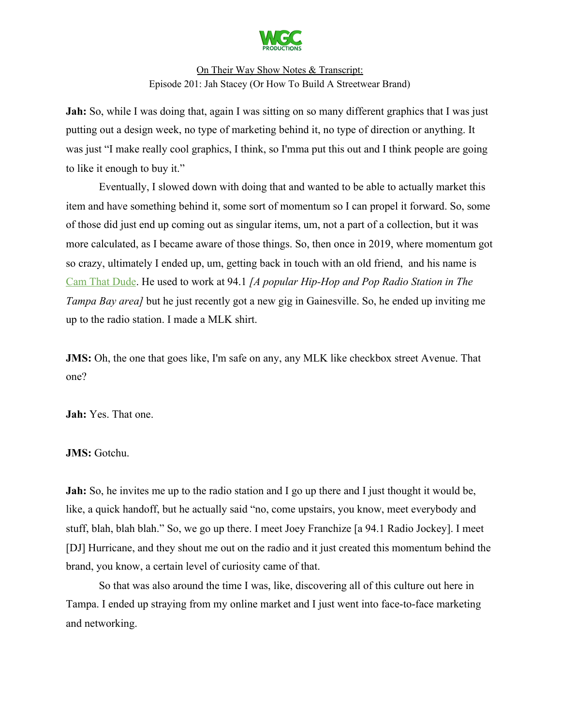

**Jah:** So, while I was doing that, again I was sitting on so many different graphics that I was just putting out a design week, no type of marketing behind it, no type of direction or anything. It was just "I make really cool graphics, I think, so I'mma put this out and I think people are going to like it enough to buy it."

Eventually, I slowed down with doing that and wanted to be able to actually market this item and have something behind it, some sort of momentum so I can propel it forward. So, some of those did just end up coming out as singular items, um, not a part of a collection, but it was more calculated, as I became aware of those things. So, then once in 2019, where momentum got so crazy, ultimately I ended up, um, getting back in touch with an old friend, and his name is [Cam That Dude](https://wild941.com/wild-weekend-squad/cam-that-dude/). He used to work at 94.1 *[A popular Hip-Hop and Pop Radio Station in The Tampa Bay area]* but he just recently got a new gig in Gainesville. So, he ended up inviting me up to the radio station. I made a MLK shirt.

**JMS:** Oh, the one that goes like, I'm safe on any, any MLK like checkbox street Avenue. That one?

**Jah:** Yes. That one.

#### **JMS:** Gotchu.

**Jah:** So, he invites me up to the radio station and I go up there and I just thought it would be, like, a quick handoff, but he actually said "no, come upstairs, you know, meet everybody and stuff, blah, blah blah." So, we go up there. I meet Joey Franchize [a 94.1 Radio Jockey]. I meet [DJ] Hurricane, and they shout me out on the radio and it just created this momentum behind the brand, you know, a certain level of curiosity came of that.

So that was also around the time I was, like, discovering all of this culture out here in Tampa. I ended up straying from my online market and I just went into face-to-face marketing and networking.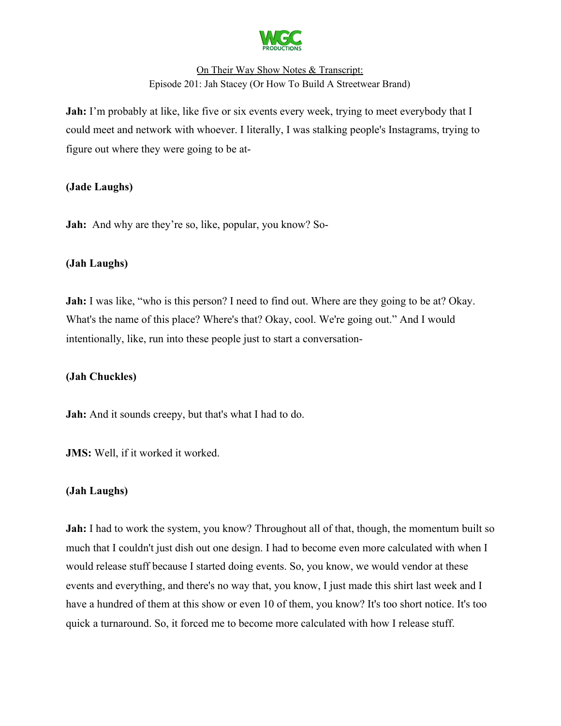

**Jah:** I'm probably at like, like five or six events every week, trying to meet everybody that I could meet and network with whoever. I literally, I was stalking people's Instagrams, trying to figure out where they were going to be at-

#### **(Jade Laughs)**

**Jah:** And why are they're so, like, popular, you know? So-

#### **(Jah Laughs)**

**Jah:** I was like, "who is this person? I need to find out. Where are they going to be at? Okay. What's the name of this place? Where's that? Okay, cool. We're going out." And I would intentionally, like, run into these people just to start a conversation-

## **(Jah Chuckles)**

**Jah:** And it sounds creepy, but that's what I had to do.

**JMS:** Well, if it worked it worked.

## **(Jah Laughs)**

**Jah:** I had to work the system, you know? Throughout all of that, though, the momentum built so much that I couldn't just dish out one design. I had to become even more calculated with when I would release stuff because I started doing events. So, you know, we would vendor at these events and everything, and there's no way that, you know, I just made this shirt last week and I have a hundred of them at this show or even 10 of them, you know? It's too short notice. It's too quick a turnaround. So, it forced me to become more calculated with how I release stuff.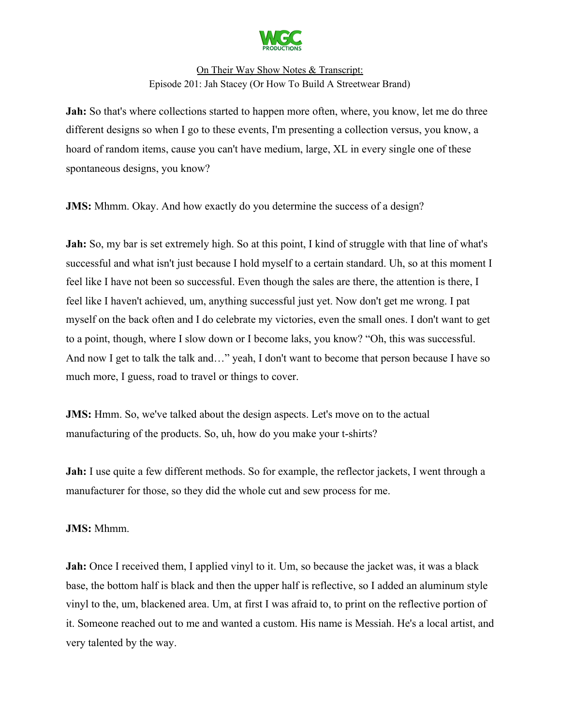

**Jah:** So that's where collections started to happen more often, where, you know, let me do three different designs so when I go to these events, I'm presenting a collection versus, you know, a hoard of random items, cause you can't have medium, large, XL in every single one of these spontaneous designs, you know?

**JMS:** Mhmm. Okay. And how exactly do you determine the success of a design?

**Jah:** So, my bar is set extremely high. So at this point, I kind of struggle with that line of what's successful and what isn't just because I hold myself to a certain standard. Uh, so at this moment I feel like I have not been so successful. Even though the sales are there, the attention is there, I feel like I haven't achieved, um, anything successful just yet. Now don't get me wrong. I pat myself on the back often and I do celebrate my victories, even the small ones. I don't want to get to a point, though, where I slow down or I become laks, you know? "Oh, this was successful. And now I get to talk the talk and…" yeah, I don't want to become that person because I have so much more, I guess, road to travel or things to cover.

**JMS:** Hmm. So, we've talked about the design aspects. Let's move on to the actual manufacturing of the products. So, uh, how do you make your t-shirts?

**Jah:** I use quite a few different methods. So for example, the reflector jackets, I went through a manufacturer for those, so they did the whole cut and sew process for me.

#### **JMS:** Mhmm.

**Jah:** Once I received them, I applied vinyl to it. Um, so because the jacket was, it was a black base, the bottom half is black and then the upper half is reflective, so I added an aluminum style vinyl to the, um, blackened area. Um, at first I was afraid to, to print on the reflective portion of it. Someone reached out to me and wanted a custom. His name is Messiah. He's a local artist, and very talented by the way.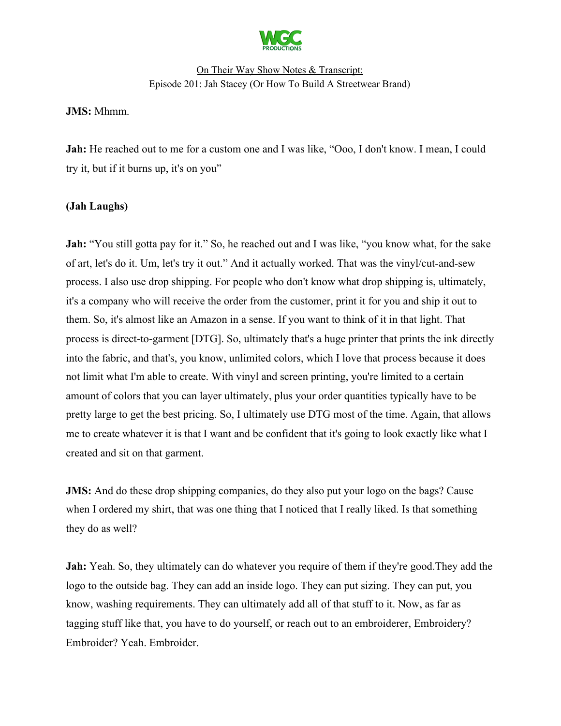

**JMS:** Mhmm.

**Jah:** He reached out to me for a custom one and I was like, "Ooo, I don't know. I mean, I could try it, but if it burns up, it's on you"

#### **(Jah Laughs)**

**Jah:** "You still gotta pay for it." So, he reached out and I was like, "you know what, for the sake of art, let's do it. Um, let's try it out." And it actually worked. That was the vinyl/cut-and-sew process. I also use drop shipping. For people who don't know what drop shipping is, ultimately, it's a company who will receive the order from the customer, print it for you and ship it out to them. So, it's almost like an Amazon in a sense. If you want to think of it in that light. That process is direct-to-garment [DTG]. So, ultimately that's a huge printer that prints the ink directly into the fabric, and that's, you know, unlimited colors, which I love that process because it does not limit what I'm able to create. With vinyl and screen printing, you're limited to a certain amount of colors that you can layer ultimately, plus your order quantities typically have to be pretty large to get the best pricing. So, I ultimately use DTG most of the time. Again, that allows me to create whatever it is that I want and be confident that it's going to look exactly like what I created and sit on that garment.

**JMS:** And do these drop shipping companies, do they also put your logo on the bags? Cause when I ordered my shirt, that was one thing that I noticed that I really liked. Is that something they do as well?

**Jah:** Yeah. So, they ultimately can do whatever you require of them if they're good.They add the logo to the outside bag. They can add an inside logo. They can put sizing. They can put, you know, washing requirements. They can ultimately add all of that stuff to it. Now, as far as tagging stuff like that, you have to do yourself, or reach out to an embroiderer, Embroidery? Embroider? Yeah. Embroider.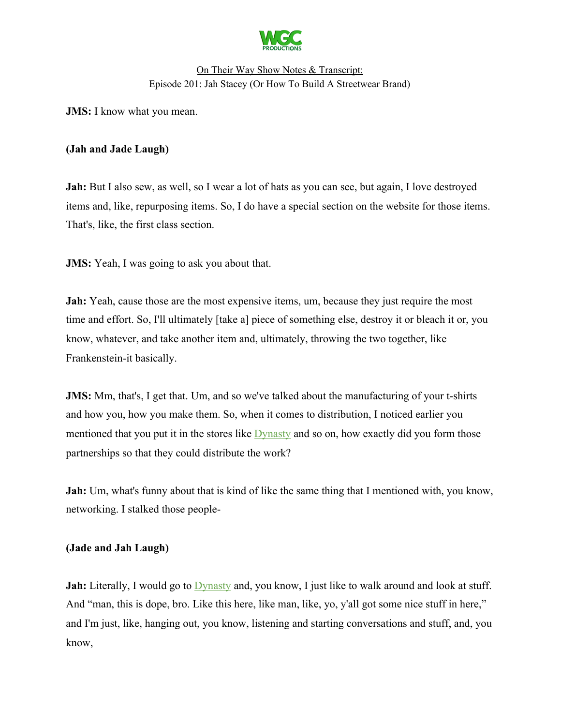

**JMS:** I know what you mean.

#### **(Jah and Jade Laugh)**

**Jah:** But I also sew, as well, so I wear a lot of hats as you can see, but again, I love destroyed items and, like, repurposing items. So, I do have a special section on the website for those items. That's, like, the first class section.

**JMS:** Yeah, I was going to ask you about that.

**Jah:** Yeah, cause those are the most expensive items, um, because they just require the most time and effort. So, I'll ultimately [take a] piece of something else, destroy it or bleach it or, you know, whatever, and take another item and, ultimately, throwing the two together, like Frankenstein-it basically.

**JMS:** Mm, that's, I get that. Um, and so we've talked about the manufacturing of your t-shirts and how you, how you make them. So, when it comes to distribution, I noticed earlier you mentioned that you put it in the stores like **Dynasty** and so on, how exactly did you form those partnerships so that they could distribute the work?

**Jah:** Um, what's funny about that is kind of like the same thing that I mentioned with, you know, networking. I stalked those people-

#### **(Jade and Jah Laugh)**

**Jah:** Literally, I would go to [Dynasty](https://www.facebook.com/DynastyClothing/) and, you know, I just like to walk around and look at stuff. And "man, this is dope, bro. Like this here, like man, like, yo, y'all got some nice stuff in here," and I'm just, like, hanging out, you know, listening and starting conversations and stuff, and, you know,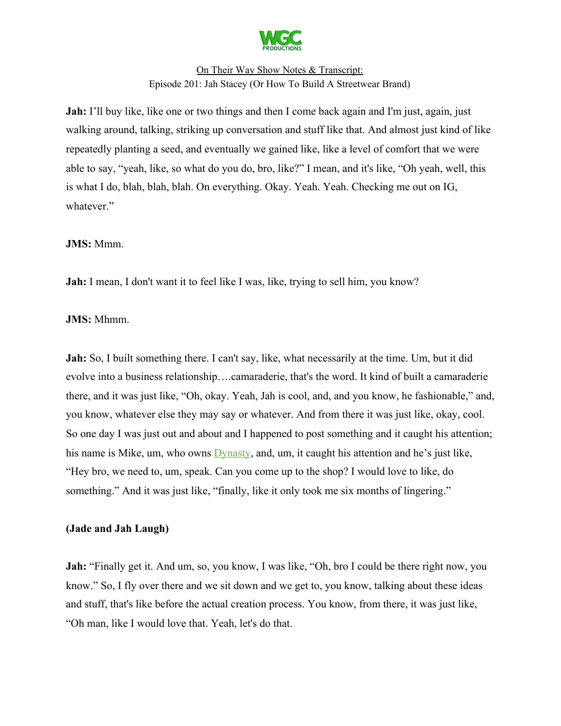

**Jah:** I'll buy like, like one or two things and then I come back again and I'm just, again, just walking around, talking, striking up conversation and stuff like that. And almost just kind of like repeatedly planting a seed, and eventually we gained like, like a level of comfort that we were able to say, "yeah, like, so what do you do, bro, like?" I mean, and it's like, "Oh yeah, well, this is what I do, blah, blah, blah. On everything. Okay. Yeah. Yeah. Checking me out on IG, whatever."

#### **JMS:** Mmm.

**Jah:** I mean, I don't want it to feel like I was, like, trying to sell him, you know?

#### **JMS:** Mhmm.

**Jah:** So, I built something there. I can't say, like, what necessarily at the time. Um, but it did evolve into a business relationship….camaraderie, that's the word. It kind of built a camaraderie there, and it was just like, "Oh, okay. Yeah, Jah is cool, and, and you know, he fashionable," and, you know, whatever else they may say or whatever. And from there it was just like, okay, cool. So one day I was just out and about and I happened to post something and it caught his attention; his name is Mike, um, who owns [Dynasty,](https://www.facebook.com/DynastyClothing/) and, um, it caught his attention and he's just like, "Hey bro, we need to, um, speak. Can you come up to the shop? I would love to like, do something." And it was just like, "finally, like it only took me six months of lingering."

#### **(Jade and Jah Laugh)**

**Jah:** "Finally get it. And um, so, you know, I was like, "Oh, bro I could be there right now, you know." So, I fly over there and we sit down and we get to, you know, talking about these ideas and stuff, that's like before the actual creation process. You know, from there, it was just like, "Oh man, like I would love that. Yeah, let's do that.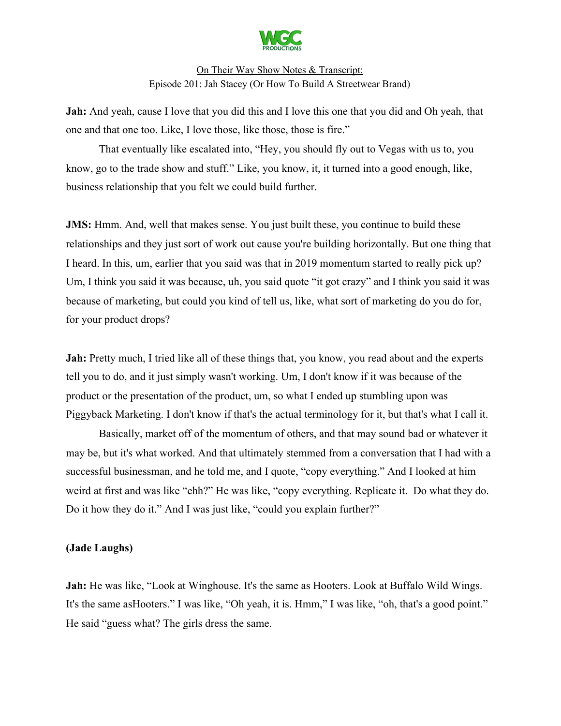

**Jah:** And yeah, cause I love that you did this and I love this one that you did and Oh yeah, that one and that one too. Like, I love those, like those, those is fire."

That eventually like escalated into, "Hey, you should fly out to Vegas with us to, you know, go to the trade show and stuff." Like, you know, it, it turned into a good enough, like, business relationship that you felt we could build further.

**JMS:** Hmm. And, well that makes sense. You just built these, you continue to build these relationships and they just sort of work out cause you're building horizontally. But one thing that I heard. In this, um, earlier that you said was that in 2019 momentum started to really pick up? Um, I think you said it was because, uh, you said quote "it got crazy" and I think you said it was because of marketing, but could you kind of tell us, like, what sort of marketing do you do for, for your product drops?

Jah: Pretty much, I tried like all of these things that, you know, you read about and the experts tell you to do, and it just simply wasn't working. Um, I don't know if it was because of the product or the presentation of the product, um, so what I ended up stumbling upon was Piggyback Marketing. I don't know if that's the actual terminology for it, but that's what I call it.

Basically, market off of the momentum of others, and that may sound bad or whatever it may be, but it's what worked. And that ultimately stemmed from a conversation that I had with a successful businessman, and he told me, and I quote, "copy everything." And I looked at him weird at first and was like "ehh?" He was like, "copy everything. Replicate it. Do what they do. Do it how they do it." And I was just like, "could you explain further?"

#### **(Jade Laughs)**

**Jah:** He was like, "Look at Winghouse. It's the same as Hooters. Look at Buffalo Wild Wings. It's the same asHooters." I was like, "Oh yeah, it is. Hmm," I was like, "oh, that's a good point." He said "guess what? The girls dress the same.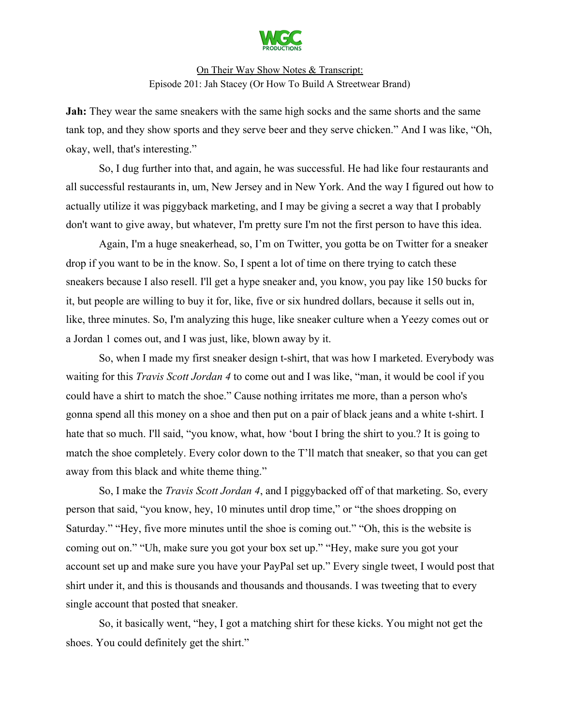

**Jah:** They wear the same sneakers with the same high socks and the same shorts and the same tank top, and they show sports and they serve beer and they serve chicken." And I was like, "Oh, okay, well, that's interesting."

So, I dug further into that, and again, he was successful. He had like four restaurants and all successful restaurants in, um, New Jersey and in New York. And the way I figured out how to actually utilize it was piggyback marketing, and I may be giving a secret a way that I probably don't want to give away, but whatever, I'm pretty sure I'm not the first person to have this idea.

Again, I'm a huge sneakerhead, so, I'm on Twitter, you gotta be on Twitter for a sneaker drop if you want to be in the know. So, I spent a lot of time on there trying to catch these sneakers because I also resell. I'll get a hype sneaker and, you know, you pay like 150 bucks for it, but people are willing to buy it for, like, five or six hundred dollars, because it sells out in, like, three minutes. So, I'm analyzing this huge, like sneaker culture when a Yeezy comes out or a Jordan 1 comes out, and I was just, like, blown away by it.

So, when I made my first sneaker design t-shirt, that was how I marketed. Everybody was waiting for this *Travis Scott Jordan 4* to come out and I was like, "man, it would be cool if you could have a shirt to match the shoe." Cause nothing irritates me more, than a person who's gonna spend all this money on a shoe and then put on a pair of black jeans and a white t-shirt. I hate that so much. I'll said, "you know, what, how 'bout I bring the shirt to you.? It is going to match the shoe completely. Every color down to the T'll match that sneaker, so that you can get away from this black and white theme thing."

So, I make the *Travis Scott Jordan 4*, and I piggybacked off of that marketing. So, every person that said, "you know, hey, 10 minutes until drop time," or "the shoes dropping on Saturday." "Hey, five more minutes until the shoe is coming out." "Oh, this is the website is coming out on." "Uh, make sure you got your box set up." "Hey, make sure you got your account set up and make sure you have your PayPal set up." Every single tweet, I would post that shirt under it, and this is thousands and thousands and thousands. I was tweeting that to every single account that posted that sneaker.

So, it basically went, "hey, I got a matching shirt for these kicks. You might not get the shoes. You could definitely get the shirt."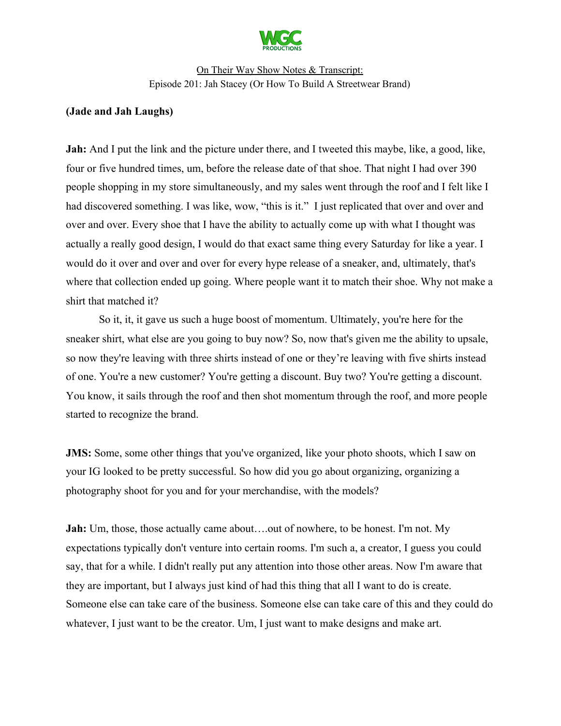

#### **(Jade and Jah Laughs)**

**Jah:** And I put the link and the picture under there, and I tweeted this maybe, like, a good, like, four or five hundred times, um, before the release date of that shoe. That night I had over 390 people shopping in my store simultaneously, and my sales went through the roof and I felt like I had discovered something. I was like, wow, "this is it." I just replicated that over and over and over and over. Every shoe that I have the ability to actually come up with what I thought was actually a really good design, I would do that exact same thing every Saturday for like a year. I would do it over and over and over for every hype release of a sneaker, and, ultimately, that's where that collection ended up going. Where people want it to match their shoe. Why not make a shirt that matched it?

So it, it, it gave us such a huge boost of momentum. Ultimately, you're here for the sneaker shirt, what else are you going to buy now? So, now that's given me the ability to upsale, so now they're leaving with three shirts instead of one or they're leaving with five shirts instead of one. You're a new customer? You're getting a discount. Buy two? You're getting a discount. You know, it sails through the roof and then shot momentum through the roof, and more people started to recognize the brand.

**JMS:** Some, some other things that you've organized, like your photo shoots, which I saw on your IG looked to be pretty successful. So how did you go about organizing, organizing a photography shoot for you and for your merchandise, with the models?

**Jah:** Um, those, those actually came about....out of nowhere, to be honest. I'm not. My expectations typically don't venture into certain rooms. I'm such a, a creator, I guess you could say, that for a while. I didn't really put any attention into those other areas. Now I'm aware that they are important, but I always just kind of had this thing that all I want to do is create. Someone else can take care of the business. Someone else can take care of this and they could do whatever, I just want to be the creator. Um, I just want to make designs and make art.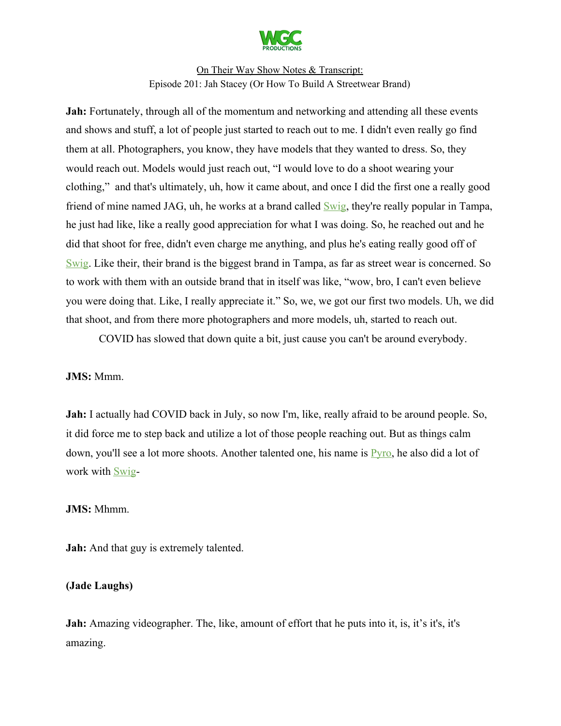

**Jah:** Fortunately, through all of the momentum and networking and attending all these events and shows and stuff, a lot of people just started to reach out to me. I didn't even really go find them at all. Photographers, you know, they have models that they wanted to dress. So, they would reach out. Models would just reach out, "I would love to do a shoot wearing your clothing," and that's ultimately, uh, how it came about, and once I did the first one a really good friend of mine named JAG, uh, he works at a brand called **Swig**, they're really popular in Tampa, he just had like, like a really good appreciation for what I was doing. So, he reached out and he did that shoot for free, didn't even charge me anything, and plus he's eating really good off of [Swig.](https://cityofswig.com/) Like their, their brand is the biggest brand in Tampa, as far as street wear is concerned. So to work with them with an outside brand that in itself was like, "wow, bro, I can't even believe you were doing that. Like, I really appreciate it." So, we, we got our first two models. Uh, we did that shoot, and from there more photographers and more models, uh, started to reach out.

COVID has slowed that down quite a bit, just cause you can't be around everybody.

#### **JMS:** Mmm.

**Jah:** I actually had COVID back in July, so now I'm, like, really afraid to be around people. So, it did force me to step back and utilize a lot of those people reaching out. But as things calm down, you'll see a lot more shoots. Another talented one, his name is [Pyro,](https://www.instagram.com/master_pyr0/) he also did a lot of work with [Swig](https://cityofswig.com/)-

#### **JMS:** Mhmm.

**Jah:** And that guy is extremely talented.

#### **(Jade Laughs)**

**Jah:** Amazing videographer. The, like, amount of effort that he puts into it, is, it's it's, it's amazing.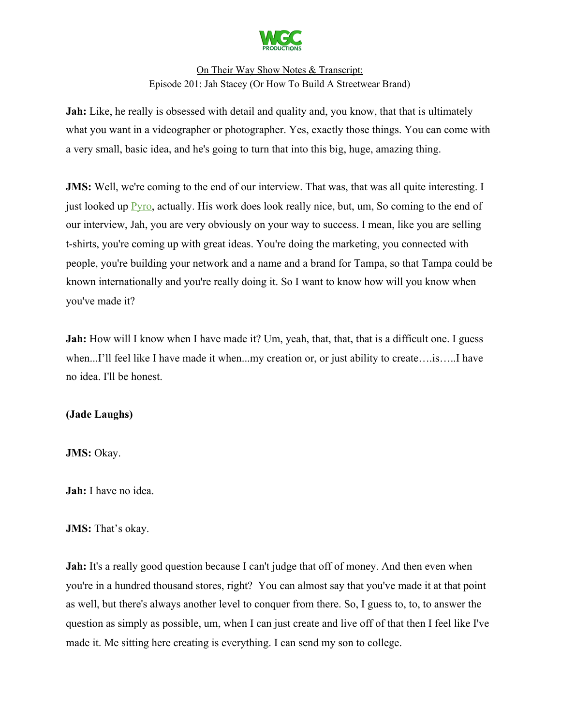

**Jah:** Like, he really is obsessed with detail and quality and, you know, that that is ultimately what you want in a videographer or photographer. Yes, exactly those things. You can come with a very small, basic idea, and he's going to turn that into this big, huge, amazing thing.

**JMS:** Well, we're coming to the end of our interview. That was, that was all quite interesting. I just looked up [Pyro,](https://www.instagram.com/master_pyr0/) actually. His work does look really nice, but, um, So coming to the end of our interview, Jah, you are very obviously on your way to success. I mean, like you are selling t-shirts, you're coming up with great ideas. You're doing the marketing, you connected with people, you're building your network and a name and a brand for Tampa, so that Tampa could be known internationally and you're really doing it. So I want to know how will you know when you've made it?

**Jah:** How will I know when I have made it? Um, yeah, that, that, that is a difficult one. I guess when...I'll feel like I have made it when...my creation or, or just ability to create....is.....I have no idea. I'll be honest.

## **(Jade Laughs)**

**JMS: Okay.** 

**Jah:** I have no idea.

#### JMS: That's okay.

**Jah:** It's a really good question because I can't judge that off of money. And then even when you're in a hundred thousand stores, right? You can almost say that you've made it at that point as well, but there's always another level to conquer from there. So, I guess to, to, to answer the question as simply as possible, um, when I can just create and live off of that then I feel like I've made it. Me sitting here creating is everything. I can send my son to college.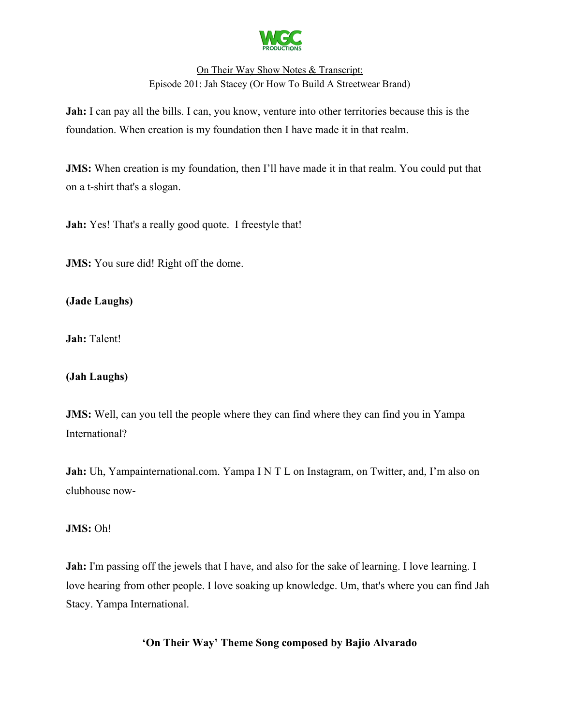

**Jah:** I can pay all the bills. I can, you know, venture into other territories because this is the foundation. When creation is my foundation then I have made it in that realm.

**JMS:** When creation is my foundation, then I'll have made it in that realm. You could put that on a t-shirt that's a slogan.

**Jah:** Yes! That's a really good quote. I freestyle that!

**JMS:** You sure did! Right off the dome.

**(Jade Laughs)**

**Jah:** Talent!

## **(Jah Laughs)**

**JMS:** Well, can you tell the people where they can find where they can find you in Yampa International?

**Jah:** Uh, Yampainternational.com. Yampa I N T L on Instagram, on Twitter, and, I'm also on clubhouse now-

## JMS: Oh!

**Jah:** I'm passing off the jewels that I have, and also for the sake of learning. I love learning. I love hearing from other people. I love soaking up knowledge. Um, that's where you can find Jah Stacy. Yampa International.

**'On Their Way' Theme Song composed by Bajio Alvarado**